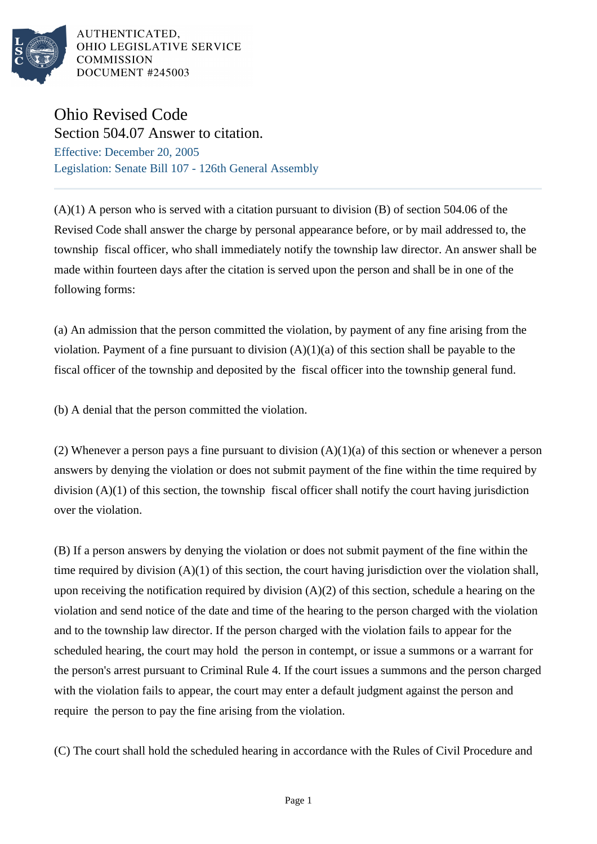

AUTHENTICATED. OHIO LEGISLATIVE SERVICE **COMMISSION DOCUMENT #245003** 

## Ohio Revised Code

Section 504.07 Answer to citation. Effective: December 20, 2005 Legislation: Senate Bill 107 - 126th General Assembly

 $(A)(1)$  A person who is served with a citation pursuant to division  $(B)$  of section 504.06 of the Revised Code shall answer the charge by personal appearance before, or by mail addressed to, the township fiscal officer, who shall immediately notify the township law director. An answer shall be made within fourteen days after the citation is served upon the person and shall be in one of the following forms:

(a) An admission that the person committed the violation, by payment of any fine arising from the violation. Payment of a fine pursuant to division  $(A)(1)(a)$  of this section shall be payable to the fiscal officer of the township and deposited by the fiscal officer into the township general fund.

(b) A denial that the person committed the violation.

(2) Whenever a person pays a fine pursuant to division  $(A)(1)(a)$  of this section or whenever a person answers by denying the violation or does not submit payment of the fine within the time required by division (A)(1) of this section, the township fiscal officer shall notify the court having jurisdiction over the violation.

(B) If a person answers by denying the violation or does not submit payment of the fine within the time required by division  $(A)(1)$  of this section, the court having jurisdiction over the violation shall, upon receiving the notification required by division  $(A)(2)$  of this section, schedule a hearing on the violation and send notice of the date and time of the hearing to the person charged with the violation and to the township law director. If the person charged with the violation fails to appear for the scheduled hearing, the court may hold the person in contempt, or issue a summons or a warrant for the person's arrest pursuant to Criminal Rule 4. If the court issues a summons and the person charged with the violation fails to appear, the court may enter a default judgment against the person and require the person to pay the fine arising from the violation.

(C) The court shall hold the scheduled hearing in accordance with the Rules of Civil Procedure and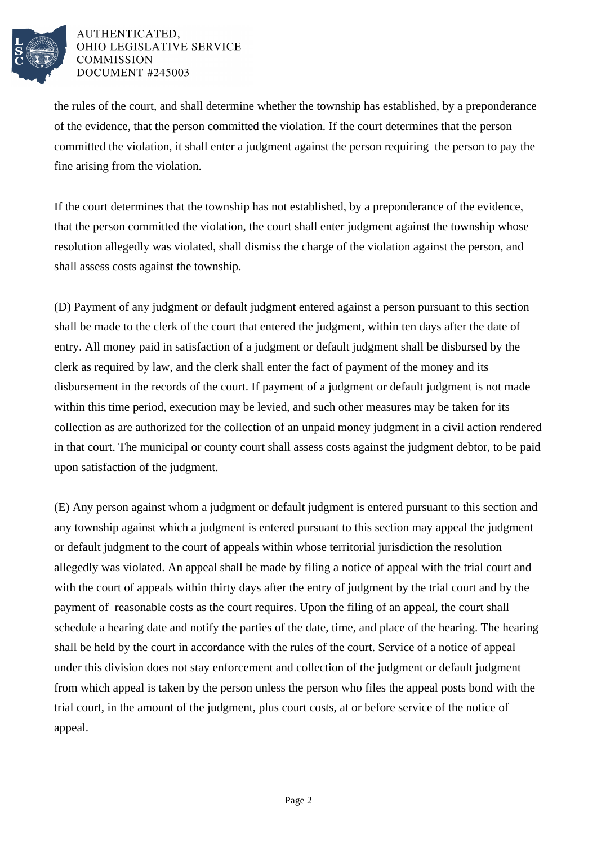

## AUTHENTICATED. OHIO LEGISLATIVE SERVICE **COMMISSION DOCUMENT #245003**

the rules of the court, and shall determine whether the township has established, by a preponderance of the evidence, that the person committed the violation. If the court determines that the person committed the violation, it shall enter a judgment against the person requiring the person to pay the fine arising from the violation.

If the court determines that the township has not established, by a preponderance of the evidence, that the person committed the violation, the court shall enter judgment against the township whose resolution allegedly was violated, shall dismiss the charge of the violation against the person, and shall assess costs against the township.

(D) Payment of any judgment or default judgment entered against a person pursuant to this section shall be made to the clerk of the court that entered the judgment, within ten days after the date of entry. All money paid in satisfaction of a judgment or default judgment shall be disbursed by the clerk as required by law, and the clerk shall enter the fact of payment of the money and its disbursement in the records of the court. If payment of a judgment or default judgment is not made within this time period, execution may be levied, and such other measures may be taken for its collection as are authorized for the collection of an unpaid money judgment in a civil action rendered in that court. The municipal or county court shall assess costs against the judgment debtor, to be paid upon satisfaction of the judgment.

(E) Any person against whom a judgment or default judgment is entered pursuant to this section and any township against which a judgment is entered pursuant to this section may appeal the judgment or default judgment to the court of appeals within whose territorial jurisdiction the resolution allegedly was violated. An appeal shall be made by filing a notice of appeal with the trial court and with the court of appeals within thirty days after the entry of judgment by the trial court and by the payment of reasonable costs as the court requires. Upon the filing of an appeal, the court shall schedule a hearing date and notify the parties of the date, time, and place of the hearing. The hearing shall be held by the court in accordance with the rules of the court. Service of a notice of appeal under this division does not stay enforcement and collection of the judgment or default judgment from which appeal is taken by the person unless the person who files the appeal posts bond with the trial court, in the amount of the judgment, plus court costs, at or before service of the notice of appeal.